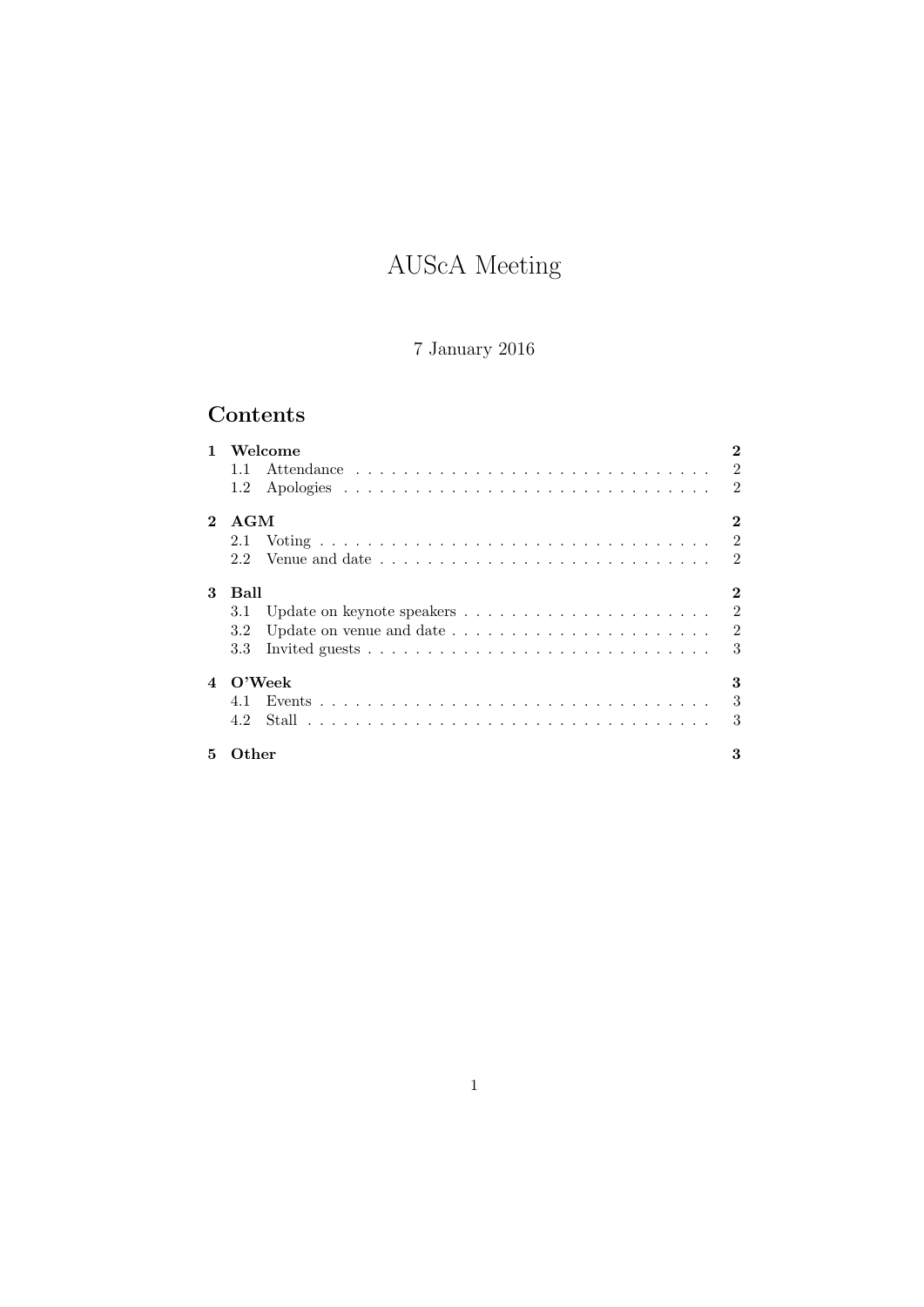# AUScA Meeting

# 7 January 2016

# Contents

|                | Welcome                                                                            |                |
|----------------|------------------------------------------------------------------------------------|----------------|
|                | 1.1                                                                                | $\mathfrak{D}$ |
|                | $1.2\,$                                                                            | $\mathfrak{D}$ |
| $\mathbf{2}$   | AGM                                                                                | 2              |
|                | 2.1                                                                                | $\overline{2}$ |
|                | 2.2                                                                                | $\mathfrak{D}$ |
| 3              | Ball                                                                               |                |
|                | 3.1                                                                                | $\mathfrak{D}$ |
|                | Update on venue and date $\ldots \ldots \ldots \ldots \ldots \ldots \ldots$<br>3.2 | $\overline{2}$ |
|                | 3.3                                                                                | 3              |
| $\overline{4}$ | $\rm O'Weak$                                                                       | 3              |
|                | 4.1                                                                                | 3              |
|                | 4.2                                                                                | 3              |
| 5.             | $\Omega$ ther                                                                      |                |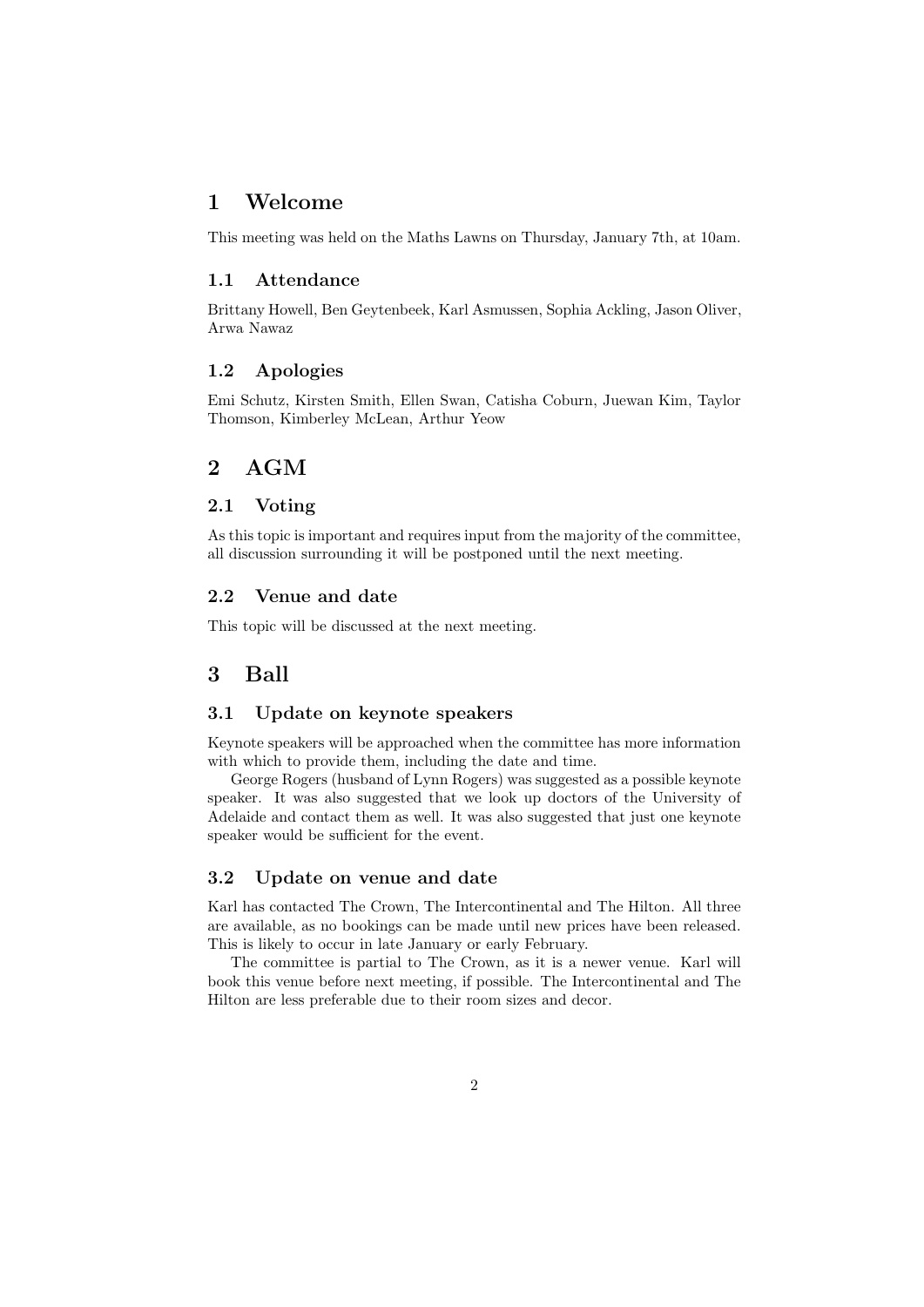### 1 Welcome

This meeting was held on the Maths Lawns on Thursday, January 7th, at 10am.

#### 1.1 Attendance

Brittany Howell, Ben Geytenbeek, Karl Asmussen, Sophia Ackling, Jason Oliver, Arwa Nawaz

### 1.2 Apologies

Emi Schutz, Kirsten Smith, Ellen Swan, Catisha Coburn, Juewan Kim, Taylor Thomson, Kimberley McLean, Arthur Yeow

### 2 AGM

### 2.1 Voting

As this topic is important and requires input from the majority of the committee, all discussion surrounding it will be postponed until the next meeting.

#### 2.2 Venue and date

This topic will be discussed at the next meeting.

### 3 Ball

#### 3.1 Update on keynote speakers

Keynote speakers will be approached when the committee has more information with which to provide them, including the date and time.

George Rogers (husband of Lynn Rogers) was suggested as a possible keynote speaker. It was also suggested that we look up doctors of the University of Adelaide and contact them as well. It was also suggested that just one keynote speaker would be sufficient for the event.

### 3.2 Update on venue and date

Karl has contacted The Crown, The Intercontinental and The Hilton. All three are available, as no bookings can be made until new prices have been released. This is likely to occur in late January or early February.

The committee is partial to The Crown, as it is a newer venue. Karl will book this venue before next meeting, if possible. The Intercontinental and The Hilton are less preferable due to their room sizes and decor.